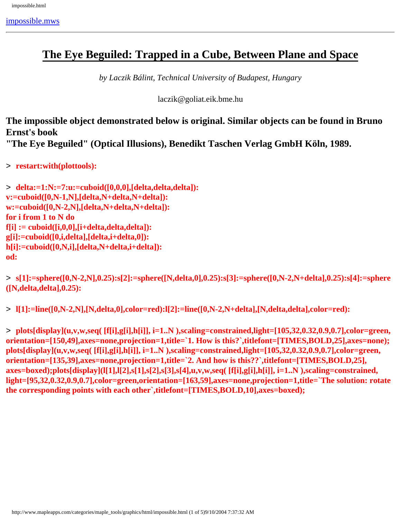### **The Eye Beguiled: Trapped in a Cube, Between Plane and Space**

*by Laczik Bálint, Technical University of Budapest, Hungary*

laczik@goliat.eik.bme.hu

**The impossible object demonstrated below is original. Similar objects can be found in Bruno Ernst's book**

**"The Eye Beguiled" (Optical Illusions), Benedikt Taschen Verlag GmbH Köln, 1989.**

> **restart:with(plottools):**

```
> delta:=1:N:=7:u:=cuboid([0,0,0],[delta,delta,delta]):
v:=cuboid([0,N-1,N],[delta,N+delta,N+delta]):
w:=cuboid([0,N-2,N],[delta,N+delta,N+delta]):
for i from 1 to N do
f[i] := cuboid([i,0,0],[i+delta,delta,delta]):
g[i]:=cuboid([0,i,delta],[delta,i+delta,0]):
h[i]:=cuboid([0,N,i],[delta,N+delta,i+delta]):
od:
```
> **s[1]:=sphere([0,N-2,N],0.25):s[2]:=sphere([N,delta,0],0.25):s[3]:=sphere([0,N-2,N+delta],0.25):s[4]:=sphere ([N,delta,delta],0.25):**

> **l[1]:=line([0,N-2,N],[N,delta,0],color=red):l[2]:=line([0,N-2,N+delta],[N,delta,delta],color=red):**

> **plots[display](u,v,w,seq( [f[i],g[i],h[i]], i=1..N ),scaling=constrained,light=[105,32,0.32,0.9,0.7],color=green, orientation=[150,49],axes=none,projection=1,title=`1. How is this?`,titlefont=[TIMES,BOLD,25],axes=none); plots[display](u,v,w,seq( [f[i],g[i],h[i]], i=1..N ),scaling=constrained,light=[105,32,0.32,0.9,0.7],color=green, orientation=[135,39],axes=none,projection=1,title=`2. And how is this??`,titlefont=[TIMES,BOLD,25], axes=boxed);plots[display](l[1],l[2],s[1],s[2],s[3],s[4],u,v,w,seq( [f[i],g[i],h[i]], i=1..N ),scaling=constrained, light=[95,32,0.32,0.9,0.7],color=green,orientation=[163,59],axes=none,projection=1,title=`The solution: rotate the corresponding points with each other`,titlefont=[TIMES,BOLD,10],axes=boxed);**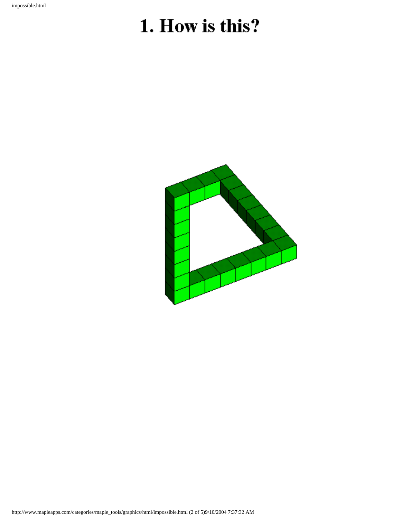# 1. How is this?

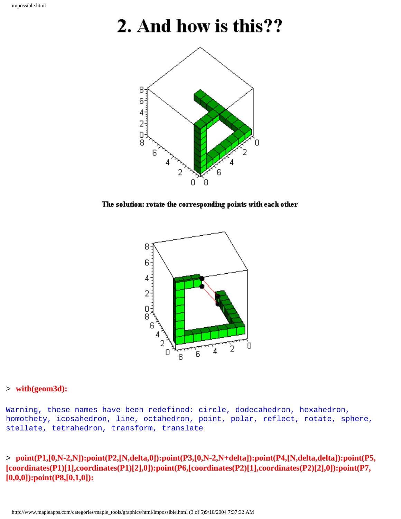## 2. And how is this??



The solution: rotate the corresponding points with each other



#### > **with(geom3d):**

Warning, these names have been redefined: circle, dodecahedron, hexahedron, homothety, icosahedron, line, octahedron, point, polar, reflect, rotate, sphere, stellate, tetrahedron, transform, translate

> **point(P1,[0,N-2,N]):point(P2,[N,delta,0]):point(P3,[0,N-2,N+delta]):point(P4,[N,delta,delta]):point(P5, [coordinates(P1)[1],coordinates(P1)[2],0]):point(P6,[coordinates(P2)[1],coordinates(P2)[2],0]):point(P7, [0,0,0]):point(P8,[0,1,0]):**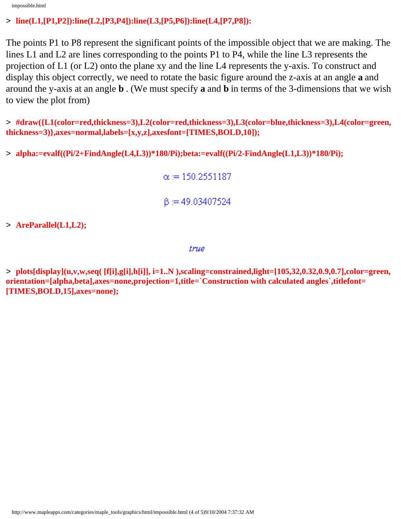impossible.html

#### > **line(L1,[P1,P2]):line(L2,[P3,P4]):line(L3,[P5,P6]):line(L4,[P7,P8]):**

The points P1 to P8 represent the significant points of the impossible object that we are making. The lines L1 and L2 are lines corresponding to the points P1 to P4, while the line L3 represents the projection of L1 (or L2) onto the plane xy and the line L4 represents the y-axis. To construct and display this object correctly, we need to rotate the basic figure around the z-axis at an angle **a** and around the y-axis at an angle **b** . (We must specify **a** and **b** in terms of the 3-dimensions that we wish to view the plot from)

> **#draw({L1(color=red,thickness=3),L2(color=red,thickness=3),L3(color=blue,thickness=3),L4(color=green, thickness=3)},axes=normal,labels=[x,y,z],axesfont=[TIMES,BOLD,10]);**

> **alpha:=evalf((Pi/2+FindAngle(L4,L3))\*180/Pi);beta:=evalf((Pi/2-FindAngle(L1,L3))\*180/Pi);**

 $\alpha = 150.2551187$  $\beta = 49.03407524$ 

> **AreParallel(L1,L2);**

true

> **plots[display](u,v,w,seq( [f[i],g[i],h[i]], i=1..N ),scaling=constrained,light=[105,32,0.32,0.9,0.7],color=green, orientation=[alpha,beta],axes=none,projection=1,title=`Construction with calculated angles`,titlefont= [TIMES,BOLD,15],axes=none);**